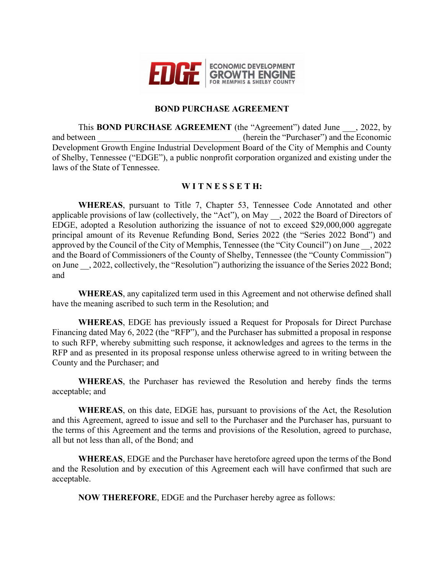

## **BOND PURCHASE AGREEMENT**

This **BOND PURCHASE AGREEMENT** (the "Agreement") dated June , 2022, by and between  $(herein the "Purchaser")$  and the Economic Development Growth Engine Industrial Development Board of the City of Memphis and County of Shelby, Tennessee ("EDGE"), a public nonprofit corporation organized and existing under the laws of the State of Tennessee.

## **W I T N E S S E T H:**

**WHEREAS**, pursuant to Title 7, Chapter 53, Tennessee Code Annotated and other applicable provisions of law (collectively, the "Act"), on May \_\_, 2022 the Board of Directors of EDGE, adopted a Resolution authorizing the issuance of not to exceed \$29,000,000 aggregate principal amount of its Revenue Refunding Bond, Series 2022 (the "Series 2022 Bond") and approved by the Council of the City of Memphis, Tennessee (the "City Council") on June \_\_, 2022 and the Board of Commissioners of the County of Shelby, Tennessee (the "County Commission") on June \_\_, 2022, collectively, the "Resolution") authorizing the issuance of the Series 2022 Bond; and

**WHEREAS**, any capitalized term used in this Agreement and not otherwise defined shall have the meaning ascribed to such term in the Resolution; and

**WHEREAS**, EDGE has previously issued a Request for Proposals for Direct Purchase Financing dated May 6, 2022 (the "RFP"), and the Purchaser has submitted a proposal in response to such RFP, whereby submitting such response, it acknowledges and agrees to the terms in the RFP and as presented in its proposal response unless otherwise agreed to in writing between the County and the Purchaser; and

**WHEREAS**, the Purchaser has reviewed the Resolution and hereby finds the terms acceptable; and

**WHEREAS**, on this date, EDGE has, pursuant to provisions of the Act, the Resolution and this Agreement, agreed to issue and sell to the Purchaser and the Purchaser has, pursuant to the terms of this Agreement and the terms and provisions of the Resolution, agreed to purchase, all but not less than all, of the Bond; and

**WHEREAS**, EDGE and the Purchaser have heretofore agreed upon the terms of the Bond and the Resolution and by execution of this Agreement each will have confirmed that such are acceptable.

**NOW THEREFORE**, EDGE and the Purchaser hereby agree as follows: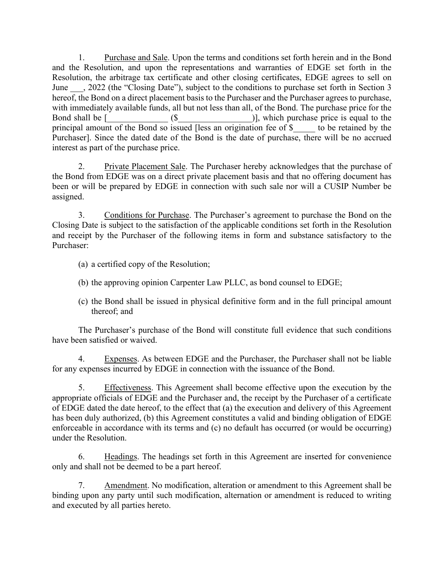1. Purchase and Sale. Upon the terms and conditions set forth herein and in the Bond and the Resolution, and upon the representations and warranties of EDGE set forth in the Resolution, the arbitrage tax certificate and other closing certificates, EDGE agrees to sell on June  $\ldots$ , 2022 (the "Closing Date"), subject to the conditions to purchase set forth in Section 3 hereof, the Bond on a direct placement basis to the Purchaser and the Purchaser agrees to purchase, with immediately available funds, all but not less than all, of the Bond. The purchase price for the Bond shall be  $[$  (\$  $)$ ), which purchase price is equal to the principal amount of the Bond so issued [less an origination fee of \$\_\_\_\_\_ to be retained by the Purchaser]. Since the dated date of the Bond is the date of purchase, there will be no accrued interest as part of the purchase price.

2. Private Placement Sale. The Purchaser hereby acknowledges that the purchase of the Bond from EDGE was on a direct private placement basis and that no offering document has been or will be prepared by EDGE in connection with such sale nor will a CUSIP Number be assigned.

3. Conditions for Purchase. The Purchaser's agreement to purchase the Bond on the Closing Date is subject to the satisfaction of the applicable conditions set forth in the Resolution and receipt by the Purchaser of the following items in form and substance satisfactory to the Purchaser:

- (a) a certified copy of the Resolution;
- (b) the approving opinion Carpenter Law PLLC, as bond counsel to EDGE;
- (c) the Bond shall be issued in physical definitive form and in the full principal amount thereof; and

The Purchaser's purchase of the Bond will constitute full evidence that such conditions have been satisfied or waived.

4. Expenses. As between EDGE and the Purchaser, the Purchaser shall not be liable for any expenses incurred by EDGE in connection with the issuance of the Bond.

5. Effectiveness. This Agreement shall become effective upon the execution by the appropriate officials of EDGE and the Purchaser and, the receipt by the Purchaser of a certificate of EDGE dated the date hereof, to the effect that (a) the execution and delivery of this Agreement has been duly authorized, (b) this Agreement constitutes a valid and binding obligation of EDGE enforceable in accordance with its terms and (c) no default has occurred (or would be occurring) under the Resolution.

6. Headings. The headings set forth in this Agreement are inserted for convenience only and shall not be deemed to be a part hereof.

7. Amendment. No modification, alteration or amendment to this Agreement shall be binding upon any party until such modification, alternation or amendment is reduced to writing and executed by all parties hereto.